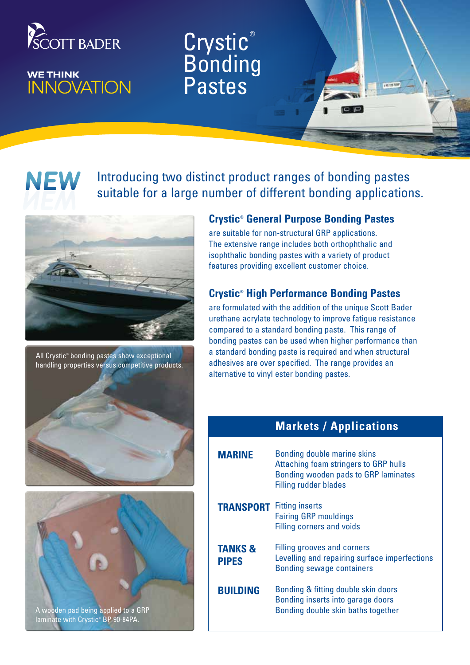

# WE THINK<br>INNOVATION

## Crystic<sup>®</sup> **Bonding** Pastes

**NEW** 

## Introducing two distinct product ranges of bonding pastes suitable for a large number of different bonding applications.



All Crystic® bonding pastes show exceptional handling properties versus competitive products.





A wooden pad being applied to a GRP laminate with Crystic® BP 90-84PA.

### **Crystic® General Purpose Bonding Pastes**

are suitable for non-structural GRP applications. The extensive range includes both orthophthalic and isophthalic bonding pastes with a variety of product features providing excellent customer choice.

## **Crystic® High Performance Bonding Pastes**

are formulated with the addition of the unique Scott Bader urethane acrylate technology to improve fatigue resistance compared to a standard bonding paste. This range of bonding pastes can be used when higher performance than a standard bonding paste is required and when structural adhesives are over specified. The range provides an alternative to vinyl ester bonding pastes.

## **Markets / Applications**

| <b>MARINF</b>                      | Bonding double marine skins<br>Attaching foam stringers to GRP hulls<br>Bonding wooden pads to GRP laminates<br><b>Filling rudder blades</b> |
|------------------------------------|----------------------------------------------------------------------------------------------------------------------------------------------|
| <b>TRANSPORT</b> Fitting inserts   | <b>Fairing GRP mouldings</b><br><b>Filling corners and voids</b>                                                                             |
| <b>TANKS &amp;</b><br><b>PIPES</b> | <b>Filling grooves and corners</b><br>Levelling and repairing surface imperfections<br><b>Bonding sewage containers</b>                      |
| <b>BUILDING</b>                    | Bonding & fitting double skin doors<br>Bonding inserts into garage doors<br>Bonding double skin baths together                               |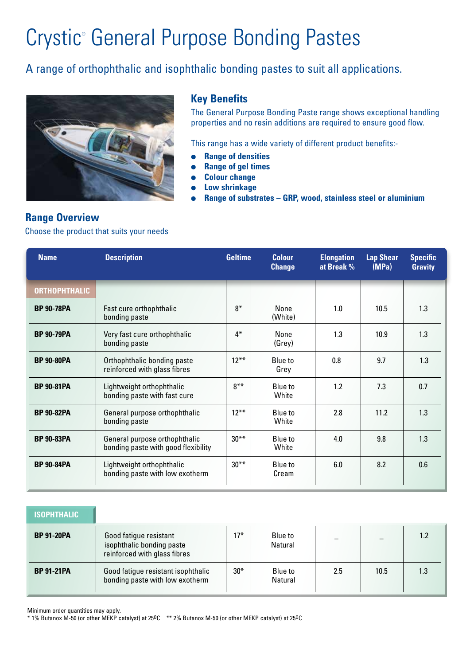## Crystic<sup>®</sup> General Purpose Bonding Pastes

## A range of orthophthalic and isophthalic bonding pastes to suit all applications.



### **Key Benefits**

The General Purpose Bonding Paste range shows exceptional handling properties and no resin additions are required to ensure good flow.

This range has a wide variety of different product benefits:-

- **Range of densities**
- **Range of gel times**
- **Colour change**
- **Low shrinkage**
- **Range of substrates GRP, wood, stainless steel or aluminium**

### **Range Overview**

#### Choose the product that suits your needs

| <b>Name</b>          | <b>Description</b>                                                   | <b>Geltime</b> | <b>Colour</b><br><b>Change</b> | <b>Elongation</b><br>at Break % | <b>Lap Shear</b><br>(MPa) | <b>Specific</b><br><b>Gravity</b> |
|----------------------|----------------------------------------------------------------------|----------------|--------------------------------|---------------------------------|---------------------------|-----------------------------------|
| <b>ORTHOPHTHALIC</b> |                                                                      |                |                                |                                 |                           |                                   |
| <b>BP 90-78PA</b>    | Fast cure orthophthalic<br>bonding paste                             | $8*$           | None<br>(White)                | 1.0                             | 10.5                      | 1.3                               |
| <b>BP 90-79PA</b>    | Very fast cure orthophthalic<br>bonding paste                        | $4*$           | <b>None</b><br>(Grey)          | 1.3                             | 10.9                      | 1.3                               |
| <b>BP 90-80PA</b>    | Orthophthalic bonding paste<br>reinforced with glass fibres          | $12***$        | Blue to<br>Grey                | 0.8                             | 9.7                       | 1.3                               |
| <b>BP 90-81PA</b>    | Lightweight orthophthalic<br>bonding paste with fast cure            | $8***$         | Blue to<br>White               | 1.2                             | 7.3                       | 0.7                               |
| <b>BP 90-82PA</b>    | General purpose orthophthalic<br>bonding paste                       | $12***$        | Blue to<br>White               | 2.8                             | 11.2                      | 1.3                               |
| <b>BP 90-83PA</b>    | General purpose orthophthalic<br>bonding paste with good flexibility | $30***$        | Blue to<br>White               | 4.0                             | 9.8                       | 1.3                               |
| <b>BP 90-84PA</b>    | Lightweight orthophthalic<br>bonding paste with low exotherm         | $30***$        | Blue to<br>Cream               | 6.0                             | 8.2                       | 0.6                               |

| <b>ISOPHTHALIC</b> |                                                                                     |       |                    |     |      |     |
|--------------------|-------------------------------------------------------------------------------------|-------|--------------------|-----|------|-----|
| <b>BP 91-20PA</b>  | Good fatigue resistant<br>isophthalic bonding paste<br>reinforced with glass fibres | $17*$ | Blue to<br>Natural |     |      |     |
| <b>BP 91-21PA</b>  | Good fatigue resistant isophthalic<br>bonding paste with low exotherm               | $30*$ | Blue to<br>Natural | 2.5 | 10.5 | 1.3 |

Minimum order quantities may apply.

\* 1% Butanox M-50 (or other MEKP catalyst) at 25OC \*\* 2% Butanox M-50 (or other MEKP catalyst) at 25OC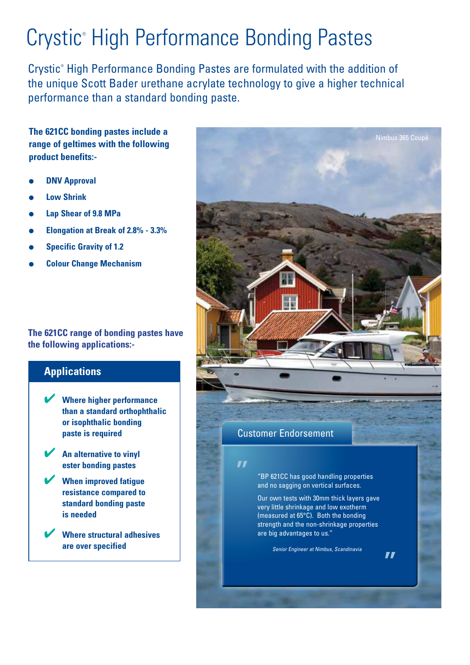## Crystic<sup>®</sup> High Performance Bonding Pastes

Crystic® High Performance Bonding Pastes are formulated with the addition of the unique Scott Bader urethane acrylate technology to give a higher technical performance than a standard bonding paste.

**The 621CC bonding pastes include a range of geltimes with the following product benefits:-**

- **DNV Approval**
- **Low Shrink**
- **Lap Shear of 9.8 MPa**
- **Elongation at Break of 2.8% 3.3%**
- **Specific Gravity of 1.2**
- **Colour Change Mechanism**

**The 621CC range of bonding pastes have the following applications:-**

## **Applications**

4 **Where higher performance than a standard orthophthalic or isophthalic bonding paste is required** 

4 **An alternative to vinyl ester bonding pastes**

4 **When improved fatigue resistance compared to standard bonding paste is needed**

4 **Where structural adhesives are over specified**